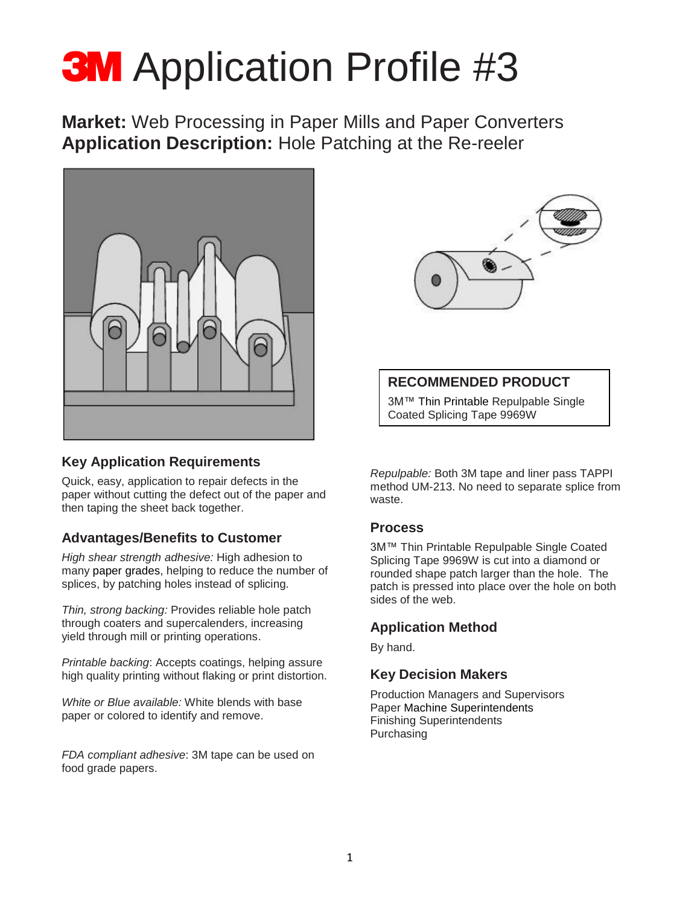# **3M** Application Profile #3

**Market:** Web Processing in Paper Mills and Paper Converters **Application Description:** Hole Patching at the Re-reeler



### **Key Application Requirements**

Quick, easy, application to repair defects in the paper without cutting the defect out of the paper and then taping the sheet back together.

# **Advantages/Benefits to Customer**

*High shear strength adhesive:* High adhesion to many paper grades, helping to reduce the number of splices, by patching holes instead of splicing.

*Thin, strong backing:* Provides reliable hole patch through coaters and supercalenders, increasing yield through mill or printing operations.

*Printable backing*: Accepts coatings, helping assure high quality printing without flaking or print distortion.

*White or Blue available:* White blends with base paper or colored to identify and remove.

*FDA compliant adhesive*: 3M tape can be used on food grade papers.



## **RECOMMENDED PRODUCT**

3M™ Thin Printable Repulpable Single Coated Splicing Tape 9969W

*Repulpable:* Both 3M tape and liner pass TAPPI method UM-213. No need to separate splice from waste.

#### **Process**

3M™ Thin Printable Repulpable Single Coated Splicing Tape 9969W is cut into a diamond or rounded shape patch larger than the hole. The patch is pressed into place over the hole on both sides of the web.

### **Application Method**

By hand.

#### **Key Decision Makers**

Production Managers and Supervisors Paper Machine Superintendents Finishing Superintendents Purchasing